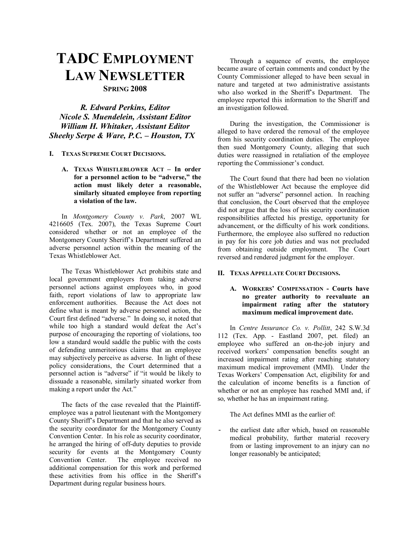# **TADC EMPLOYMENT LAW NEWSLETTER SPRING 2008**

*R. Edward Perkins, Editor Nicole S. Muendelein, Assistant Editor William H. Whitaker, Assistant Editor Sheehy Serpe & Ware, P.C. - Houston, TX* 

- **I. TEXAS SUPREME COURT DECISIONS.** 
	- **A. TEXAS WHISTLEBLOWER ACT In order** for a personnel action to be "adverse," the **action must likely deter a reasonable, similarly situated employee from reporting a violation of the law.**

In *Montgomery County v. Park*, 2007 WL 4216605 (Tex. 2007), the Texas Supreme Court considered whether or not an employee of the Montgomery County Sheriff's Department suffered an adverse personnel action within the meaning of the Texas Whistleblower Act.

The Texas Whistleblower Act prohibits state and local government employers from taking adverse personnel actions against employees who, in good faith, report violations of law to appropriate law enforcement authorities. Because the Act does not define what is meant by adverse personnel action, the Court first defined "adverse." In doing so, it noted that while too high a standard would defeat the Act's purpose of encouraging the reporting of violations, too low a standard would saddle the public with the costs of defending unmeritorious claims that an employee may subjectively perceive as adverse. In light of these policy considerations, the Court determined that a personnel action is "adverse" if "it would be likely to dissuade a reasonable, similarly situated worker from making a report under the Act."

The facts of the case revealed that the Plaintiffemployee was a patrol lieutenant with the Montgomery County Sheriff's Department and that he also served as the security coordinator for the Montgomery County Convention Center. In his role as security coordinator, he arranged the hiring of off-duty deputies to provide security for events at the Montgomery County Convention Center. The employee received no additional compensation for this work and performed these activities from his office in the Sheriff's Department during regular business hours.

Through a sequence of events, the employee became aware of certain comments and conduct by the County Commissioner alleged to have been sexual in nature and targeted at two administrative assistants who also worked in the Sheriff's Department. The employee reported this information to the Sheriff and an investigation followed.

During the investigation, the Commissioner is alleged to have ordered the removal of the employee from his security coordination duties. The employee then sued Montgomery County, alleging that such duties were reassigned in retaliation of the employee reporting the Commissioner's conduct.

The Court found that there had been no violation of the Whistleblower Act because the employee did not suffer an "adverse" personnel action. In reaching that conclusion, the Court observed that the employee did not argue that the loss of his security coordination responsibilities affected his prestige, opportunity for advancement, or the difficulty of his work conditions. Furthermore, the employee also suffered no reduction in pay for his core job duties and was not precluded from obtaining outside employment. The Court reversed and rendered judgment for the employer.

#### **II. TEXAS APPELLATE COURT DECISIONS.**

# **A. WORKERSí COMPENSATION - Courts have no greater authority to reevaluate an impairment rating after the statutory maximum medical improvement date.**

In *Centre Insurance Co. v. Pollitt*, 242 S.W.3d 112 (Tex. App. - Eastland 2007, pet. filed) an employee who suffered an on-the-job injury and received workers' compensation benefits sought an increased impairment rating after reaching statutory maximum medical improvement (MMI). Under the Texas Workers' Compensation Act, eligibility for and the calculation of income benefits is a function of whether or not an employee has reached MMI and, if so, whether he has an impairment rating.

The Act defines MMI as the earlier of:

- the earliest date after which, based on reasonable medical probability, further material recovery from or lasting improvement to an injury can no longer reasonably be anticipated;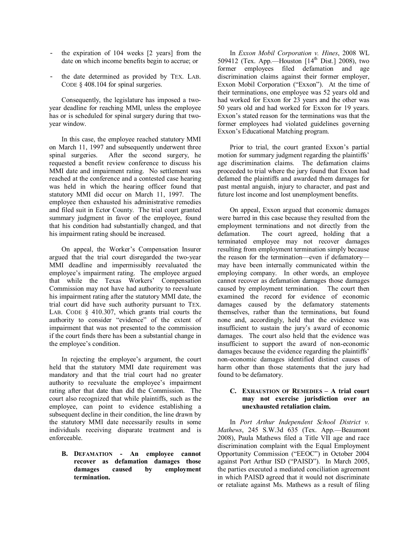- the expiration of 104 weeks [2 years] from the date on which income benefits begin to accrue; or
- the date determined as provided by TEX. LAB. CODE  $§$  408.104 for spinal surgeries.

 Consequently, the legislature has imposed a twoyear deadline for reaching MMI, unless the employee has or is scheduled for spinal surgery during that twoyear window.

 In this case, the employee reached statutory MMI on March 11, 1997 and subsequently underwent three spinal surgeries. After the second surgery, he requested a benefit review conference to discuss his MMI date and impairment rating. No settlement was reached at the conference and a contested case hearing was held in which the hearing officer found that statutory MMI did occur on March 11, 1997. The employee then exhausted his administrative remedies and filed suit in Ector County. The trial court granted summary judgment in favor of the employee, found that his condition had substantially changed, and that his impairment rating should be increased.

On appeal, the Worker's Compensation Insurer argued that the trial court disregarded the two-year MMI deadline and impermissibly reevaluated the employee's impairment rating. The employee argued that while the Texas Workers' Compensation Commission may not have had authority to reevaluate his impairment rating after the statutory MMI date, the trial court did have such authority pursuant to TEX. LAB. CODE § 410.307, which grants trial courts the authority to consider "evidence" of the extent of impairment that was not presented to the commission if the court finds there has been a substantial change in the employee's condition.

In rejecting the employee's argument, the court held that the statutory MMI date requirement was mandatory and that the trial court had no greater authority to reevaluate the employee's impairment rating after that date than did the Commission. The court also recognized that while plaintiffs, such as the employee, can point to evidence establishing a subsequent decline in their condition, the line drawn by the statutory MMI date necessarily results in some individuals receiving disparate treatment and is enforceable.

**B. DEFAMATION - An employee cannot recover as defamation damages those damages caused by employment termination.** 

In *Exxon Mobil Corporation v. Hines*, 2008 WL 509412 (Tex. App.—Houston  $[14<sup>th</sup> Dist.]$  2008), two former employees filed defamation and age discrimination claims against their former employer, Exxon Mobil Corporation ("Exxon"). At the time of their terminations, one employee was 52 years old and had worked for Exxon for 23 years and the other was 50 years old and had worked for Exxon for 19 years. Exxon's stated reason for the terminations was that the former employees had violated guidelines governing Exxon's Educational Matching program.

Prior to trial, the court granted Exxon's partial motion for summary judgment regarding the plaintiffs' age discrimination claims. The defamation claims proceeded to trial where the jury found that Exxon had defamed the plaintiffs and awarded them damages for past mental anguish, injury to character, and past and future lost income and lost unemployment benefits.

On appeal, Exxon argued that economic damages were barred in this case because they resulted from the employment terminations and not directly from the defamation. The court agreed, holding that a terminated employee may not recover damages resulting from employment termination simply because the reason for the termination—even if defamatory may have been internally communicated within the employing company. In other words, an employee cannot recover as defamation damages those damages caused by employment termination. The court then examined the record for evidence of economic damages caused by the defamatory statements themselves, rather than the terminations, but found none and, accordingly, held that the evidence was insufficient to sustain the jury's award of economic damages. The court also held that the evidence was insufficient to support the award of non-economic damages because the evidence regarding the plaintiffs' non-economic damages identified distinct causes of harm other than those statements that the jury had found to be defamatory.

## **C. EXHAUSTION OF REMEDIES - A trial court may not exercise jurisdiction over an unexhausted retaliation claim.**

In *Port Arthur Independent School District v. Mathews*, 245 S.W.3d 635 (Tex. App.-Beaumont 2008), Paula Mathews filed a Title VII age and race discrimination complaint with the Equal Employment Opportunity Commission ("EEOC") in October 2004 against Port Arthur ISD ("PAISD"). In March 2005, the parties executed a mediated conciliation agreement in which PAISD agreed that it would not discriminate or retaliate against Ms. Mathews as a result of filing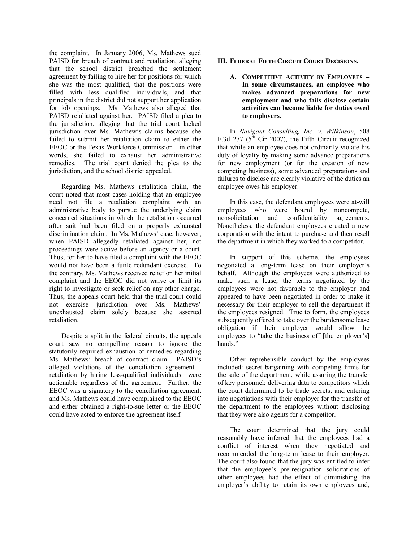the complaint. In January 2006, Ms. Mathews sued PAISD for breach of contract and retaliation, alleging that the school district breached the settlement agreement by failing to hire her for positions for which she was the most qualified, that the positions were filled with less qualified individuals, and that principals in the district did not support her application for job openings. Ms. Mathews also alleged that PAISD retaliated against her. PAISD filed a plea to the jurisdiction, alleging that the trial court lacked jurisdiction over Ms. Mathew's claims because she failed to submit her retaliation claim to either the EEOC or the Texas Workforce Commission—in other words, she failed to exhaust her administrative remedies. The trial court denied the plea to the jurisdiction, and the school district appealed.

 Regarding Ms. Mathews retaliation claim, the court noted that most cases holding that an employee need not file a retaliation complaint with an administrative body to pursue the underlying claim concerned situations in which the retaliation occurred after suit had been filed on a properly exhausted discrimination claim. In Ms. Mathews' case, however, when PAISD allegedly retaliated against her, not proceedings were active before an agency or a court. Thus, for her to have filed a complaint with the EEOC would not have been a futile redundant exercise. To the contrary, Ms. Mathews received relief on her initial complaint and the EEOC did not waive or limit its right to investigate or seek relief on any other charge. Thus, the appeals court held that the trial court could not exercise jurisdiction over Ms. Mathews' unexhausted claim solely because she asserted retaliation.

 Despite a split in the federal circuits, the appeals court saw no compelling reason to ignore the statutorily required exhaustion of remedies regarding Ms. Mathews' breach of contract claim. PAISD's alleged violations of the conciliation agreement retaliation by hiring less-qualified individuals—were actionable regardless of the agreement. Further, the EEOC was a signatory to the conciliation agreement, and Ms. Mathews could have complained to the EEOC and either obtained a right-to-sue letter or the EEOC could have acted to enforce the agreement itself.

## **III. FEDERAL FIFTH CIRCUIT COURT DECISIONS.**

**A. COMPETITIVE ACTIVITY BY EMPLOYEES -In some circumstances, an employee who makes advanced preparations for new employment and who fails disclose certain activities can become liable for duties owed to employers.** 

In *Navigant Consulting, Inc. v. Wilkinson*, 508 F.3d 277 ( $5^{th}$  Cir 2007), the Fifth Circuit recognized that while an employee does not ordinarily violate his duty of loyalty by making some advance preparations for new employment (or for the creation of new competing business), some advanced preparations and failures to disclose are clearly violative of the duties an employee owes his employer.

 In this case, the defendant employees were at-will employees who were bound by noncompete, nonsolicitation and confidentiality agreements. Nonetheless, the defendant employees created a new corporation with the intent to purchase and then resell the department in which they worked to a competitor.

 In support of this scheme, the employees negotiated a long-term lease on their employer's behalf. Although the employees were authorized to make such a lease, the terms negotiated by the employees were not favorable to the employer and appeared to have been negotiated in order to make it necessary for their employer to sell the department if the employees resigned. True to form, the employees subsequently offered to take over the burdensome lease obligation if their employer would allow the employees to "take the business off [the employer's] hands<sup>"</sup>

 Other reprehensible conduct by the employees included: secret bargaining with competing firms for the sale of the department, while assuring the transfer of key personnel; delivering data to competitors which the court determined to be trade secrets; and entering into negotiations with their employer for the transfer of the department to the employees without disclosing that they were also agents for a competitor.

 The court determined that the jury could reasonably have inferred that the employees had a conflict of interest when they negotiated and recommended the long-term lease to their employer. The court also found that the jury was entitled to infer that the employee's pre-resignation solicitations of other employees had the effect of diminishing the employer's ability to retain its own employees and,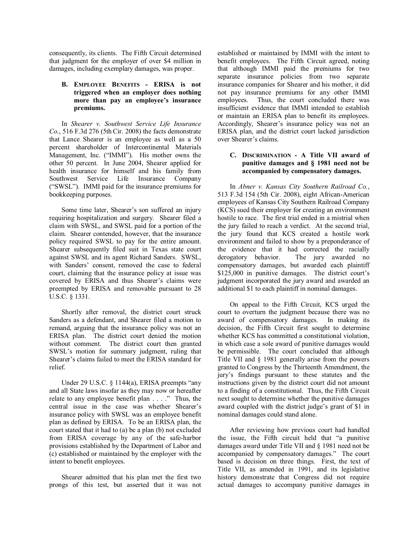consequently, its clients. The Fifth Circuit determined that judgment for the employer of over \$4 million in damages, including exemplary damages, was proper.

#### **B. EMPLOYEE BENEFITS - ERISA is not triggered when an employer does nothing**  more than pay an employee's insurance **premiums.**

In *Shearer v. Southwest Service Life Insurance Co.*, 516 F.3d 276 (5th Cir. 2008) the facts demonstrate that Lance Shearer is an employee as well as a 50 percent shareholder of Intercontinental Materials Management, Inc. ("IMMI"). His mother owns the other 50 percent. In June 2004, Shearer applied for health insurance for himself and his family from Southwest Service Life Insurance Company ("SWSL"). IMMI paid for the insurance premiums for bookkeeping purposes.

Some time later, Shearer's son suffered an injury requiring hospitalization and surgery. Shearer filed a claim with SWSL, and SWSL paid for a portion of the claim. Shearer contended, however, that the insurance policy required SWSL to pay for the entire amount. Shearer subsequently filed suit in Texas state court against SWSL and its agent Richard Sanders. SWSL, with Sanders' consent, removed the case to federal court, claiming that the insurance policy at issue was covered by ERISA and thus Shearer's claims were preempted by ERISA and removable pursuant to 28 U.S.C. ß 1331.

Shortly after removal, the district court struck Sanders as a defendant, and Shearer filed a motion to remand, arguing that the insurance policy was not an ERISA plan. The district court denied the motion without comment. The district court then granted SWSL's motion for summary judgment, ruling that Shearer's claims failed to meet the ERISA standard for relief.

Under 29 U.S.C.  $\S$  1144(a), ERISA preempts "any and all State laws insofar as they may now or hereafter relate to any employee benefit plan  $\dots$ ." Thus, the central issue in the case was whether Shearer's insurance policy with SWSL was an employee benefit plan as defined by ERISA. To be an ERISA plan, the court stated that it had to (a) be a plan (b) not excluded from ERISA coverage by any of the safe-harbor provisions established by the Department of Labor and (c) established or maintained by the employer with the intent to benefit employees.

Shearer admitted that his plan met the first two prongs of this test, but asserted that it was not established or maintained by IMMI with the intent to benefit employees. The Fifth Circuit agreed, noting that although IMMI paid the premiums for two separate insurance policies from two separate insurance companies for Shearer and his mother, it did not pay insurance premiums for any other IMMI employees. Thus, the court concluded there was insufficient evidence that IMMI intended to establish or maintain an ERISA plan to benefit its employees. Accordingly, Shearer's insurance policy was not an ERISA plan, and the district court lacked jurisdiction over Shearer's claims.

#### **C. DISCRIMINATION - A Title VII award of punitive damages and ß 1981 need not be accompanied by compensatory damages.**

In *Abner v. Kansas City Southern Railroad Co.*, 513 F.3d 154 (5th Cir. 2008), eight African-American employees of Kansas City Southern Railroad Company (KCS) sued their employer for creating an environment hostile to race. The first trial ended in a mistrial when the jury failed to reach a verdict. At the second trial, the jury found that KCS created a hostile work environment and failed to show by a preponderance of the evidence that it had corrected the racially derogatory behavior. The jury awarded no compensatory damages, but awarded each plaintiff  $$125,000$  in punitive damages. The district court's judgment incorporated the jury award and awarded an additional \$1 to each plaintiff in nominal damages.

On appeal to the Fifth Circuit, KCS urged the court to overturn the judgment because there was no award of compensatory damages. In making its decision, the Fifth Circuit first sought to determine whether KCS has committed a constitutional violation, in which case a sole award of punitive damages would be permissible. The court concluded that although Title VII and ß 1981 generally arise from the powers granted to Congress by the Thirteenth Amendment, the juryís findings pursuant to these statutes and the instructions given by the district court did not amount to a finding of a constitutional. Thus, the Fifth Circuit next sought to determine whether the punitive damages award coupled with the district judge's grant of \$1 in nominal damages could stand alone.

After reviewing how previous court had handled the issue, the Fifth circuit held that "a punitive damages award under Title VII and § 1981 need not be accompanied by compensatory damages." The court based is decision on three things. First, the text of Title VII, as amended in 1991, and its legislative history demonstrate that Congress did not require actual damages to accompany punitive damages in